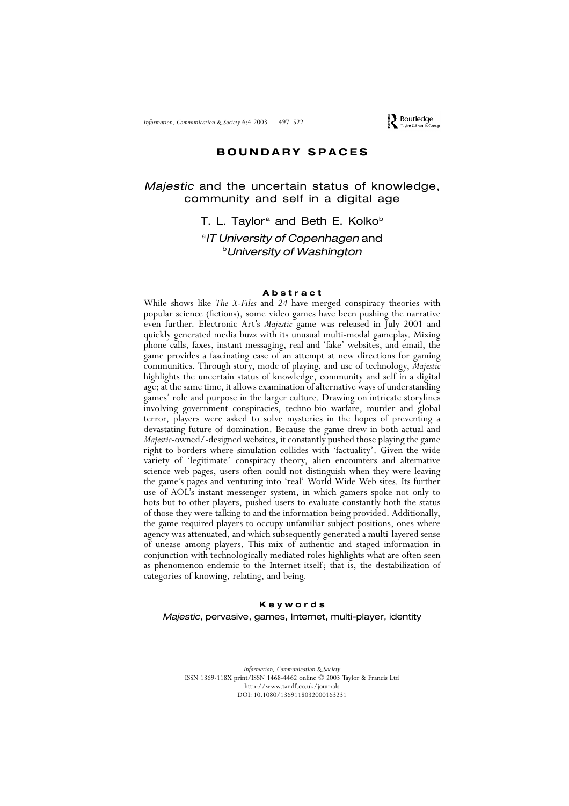*Information, Communication & Society* 6:4 2003 497–522

P Routledge

# **BOUNDARY SPACES**

*Majestic* and the uncertain status of knowledge, community and self in a digital age

> T. L. Taylor<sup>a</sup> and Beth E. Kolko<sup>b</sup> a *IT University of Copenhagen* and <sup>b</sup>*University of Washington*

#### **Abstract**

While shows like *The X-Files* and *24* have merged conspiracy theories with popular science (fictions), some video games have been pushing the narrative even further. Electronic Art's *Majestic* game was released in July 2001 and quickly generated media buzz with its unusual multi-modal gameplay. Mixing phone calls, faxes, instant messaging, real and 'fake' websites, and email, the game provides a fascinating case of an attempt at new directions for gaming communities. Through story, mode of playing, and use of technology, *Majestic* highlights the uncertain status of knowledge, community and self in a digital age; at the same time, it allows examination of alternative ways of understanding games' role and purpose in the larger culture. Drawing on intricate storylines involving government conspiracies, techno-bio warfare, murder and global terror, players were asked to solve mysteries in the hopes of preventing a devastating future of domination. Because the game drew in both actual and *Majestic*-owned/-designed websites, it constantly pushed those playing the game right to borders where simulation collides with 'factuality'. Given the wide variety of 'legitimate' conspiracy theory, alien encounters and alternative science web pages, users often could not distinguish when they were leaving the game's pages and venturing into 'real' World Wide Web sites. Its further use of AOL's instant messenger system, in which gamers spoke not only to bots but to other players, pushed users to evaluate constantly both the status of those they were talking to and the information being provided. Additionally, the game required players to occupy unfamiliar subject positions, ones where agency was attenuated, and which subsequently generated a multi-layered sense of unease among players. This mix of authentic and staged information in conjunction with technologically mediated roles highlights what are often seen as phenomenon endemic to the Internet itself; that is, the destabilization of categories of knowing, relating, and being.

### **Keywords**

*Majestic*, pervasive, games, Internet, multi-player, identity

*Information, Communication & Society* ISSN 1369-118X print/ISSN 1468-4462 online © 2003 Taylor & Francis Ltd http://www.tandf.co.uk/journals DOI: 10.1080/1369118032000163231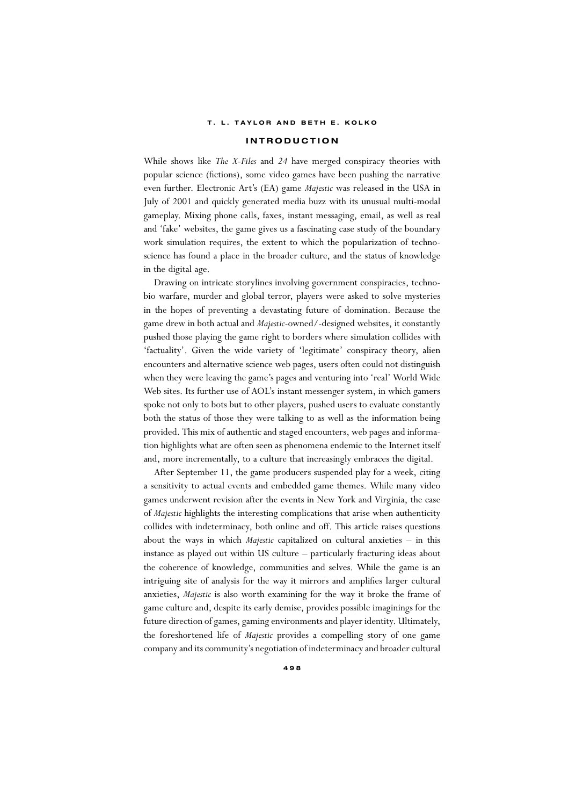### **INTRODUCTION**

While shows like *The X-Files* and *24* have merged conspiracy theories with popular science (fictions), some video games have been pushing the narrative even further. Electronic Art's (EA) game *Majestic* was released in the USA in July of 2001 and quickly generated media buzz with its unusual multi-modal gameplay. Mixing phone calls, faxes, instant messaging, email, as well as real and 'fake' websites, the game gives us a fascinating case study of the boundary work simulation requires, the extent to which the popularization of technoscience has found a place in the broader culture, and the status of knowledge in the digital age.

Drawing on intricate storylines involving government conspiracies, technobio warfare, murder and global terror, players were asked to solve mysteries in the hopes of preventing a devastating future of domination. Because the game drew in both actual and *Majestic*-owned/-designed websites, it constantly pushed those playing the game right to borders where simulation collides with 'factuality'. Given the wide variety of 'legitimate' conspiracy theory, alien encounters and alternative science web pages, users often could not distinguish when they were leaving the game's pages and venturing into 'real' World Wide Web sites. Its further use of AOL's instant messenger system, in which gamers spoke not only to bots but to other players, pushed users to evaluate constantly both the status of those they were talking to as well as the information being provided. This mix of authentic and staged encounters, web pages and information highlights what are often seen as phenomena endemic to the Internet itself and, more incrementally, to a culture that increasingly embraces the digital.

After September 11, the game producers suspended play for a week, citing a sensitivity to actual events and embedded game themes. While many video games underwent revision after the events in New York and Virginia, the case of *Majestic* highlights the interesting complications that arise when authenticity collides with indeterminacy, both online and off. This article raises questions about the ways in which *Majestic* capitalized on cultural anxieties – in this instance as played out within US culture – particularly fracturing ideas about the coherence of knowledge, communities and selves. While the game is an intriguing site of analysis for the way it mirrors and amplifies larger cultural anxieties, *Majestic* is also worth examining for the way it broke the frame of game culture and, despite its early demise, provides possible imaginings for the future direction of games, gaming environments and player identity. Ultimately, the foreshortened life of *Majestic* provides a compelling story of one game company and its community's negotiation of indeterminacy and broader cultural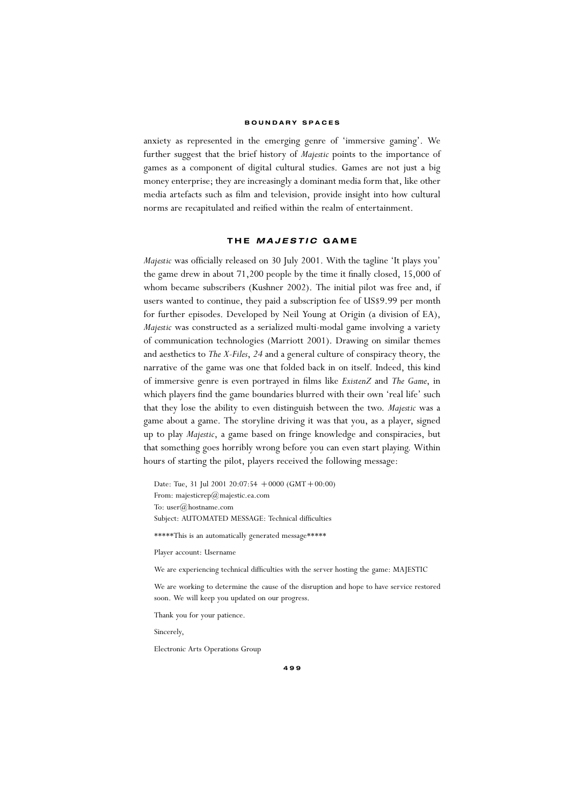anxiety as represented in the emerging genre of 'immersive gaming'. We further suggest that the brief history of *Majestic* points to the importance of games as a component of digital cultural studies. Games are not just a big money enterprise; they are increasingly a dominant media form that, like other media artefacts such as film and television, provide insight into how cultural norms are recapitulated and reified within the realm of entertainment.

# **THE** *MAJESTIC* **GAME**

*Majestic* was officially released on 30 July 2001. With the tagline 'It plays you' the game drew in about 71,200 people by the time it finally closed, 15,000 of whom became subscribers (Kushner 2002). The initial pilot was free and, if users wanted to continue, they paid a subscription fee of US\$9.99 per month for further episodes. Developed by Neil Young at Origin (a division of EA), *Majestic* was constructed as a serialized multi-modal game involving a variety of communication technologies (Marriott 2001). Drawing on similar themes and aesthetics to *The X-Files*, *24* and a general culture of conspiracy theory, the narrative of the game was one that folded back in on itself. Indeed, this kind of immersive genre is even portrayed in films like *ExistenZ* and *The Game*, in which players find the game boundaries blurred with their own 'real life' such that they lose the ability to even distinguish between the two. *Majestic* was a game about a game. The storyline driving it was that you, as a player, signed up to play *Majestic*, a game based on fringe knowledge and conspiracies, but that something goes horribly wrong before you can even start playing. Within hours of starting the pilot, players received the following message:

Date: Tue, 31 Jul 2001 20:07:54  $+$ 0000 (GMT $+$ 00:00) From: majesticrep@majestic.ea.com To: user@hostname.com Subject: AUTOMATED MESSAGE: Technical difficulties

\*\*\*\*\*This is an automatically generated message\*\*\*\*\*

Player account: Username

We are experiencing technical difficulties with the server hosting the game: MAJESTIC

We are working to determine the cause of the disruption and hope to have service restored soon. We will keep you updated on our progress.

Thank you for your patience.

Sincerely,

Electronic Arts Operations Group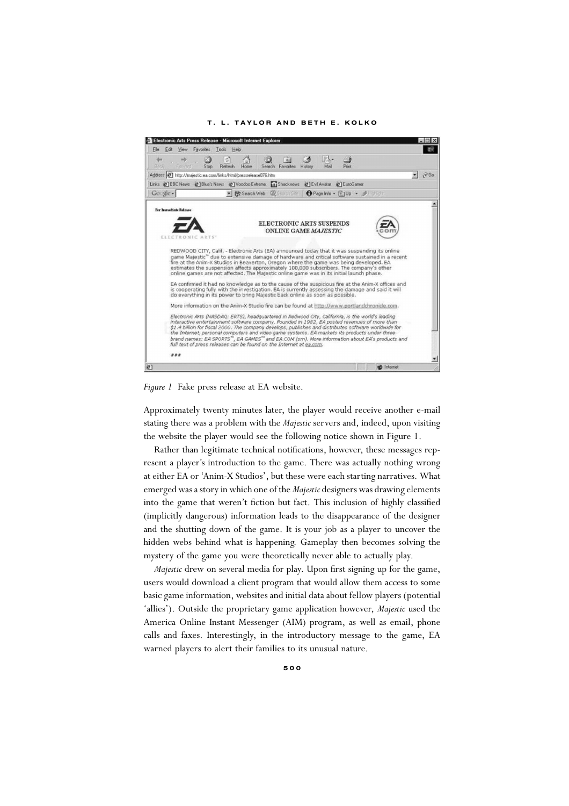

*Figure 1* Fake press release at EA website.

Approximately twenty minutes later, the player would receive another e-mail stating there was a problem with the *Majestic* servers and, indeed, upon visiting the website the player would see the following notice shown in Figure 1.

Rather than legitimate technical notifications, however, these messages represent a player's introduction to the game. There was actually nothing wrong at either EA or 'Anim-X Studios', but these were each starting narratives. What emerged was a story in which one of the*Majestic* designers was drawing elements into the game that weren't fiction but fact. This inclusion of highly classified (implicitly dangerous) information leads to the disappearance of the designer and the shutting down of the game. It is your job as a player to uncover the hidden webs behind what is happening. Gameplay then becomes solving the mystery of the game you were theoretically never able to actually play.

*Majestic* drew on several media for play. Upon first signing up for the game, users would download a client program that would allow them access to some basic game information, websites and initial data about fellow players (potential 'allies'). Outside the proprietary game application however, *Majestic* used the America Online Instant Messenger (AIM) program, as well as email, phone calls and faxes. Interestingly, in the introductory message to the game, EA warned players to alert their families to its unusual nature.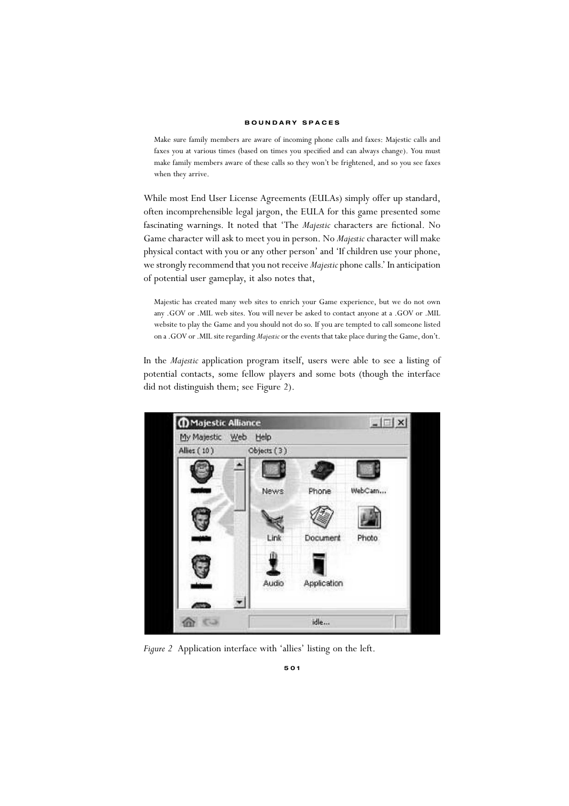Make sure family members are aware of incoming phone calls and faxes: Majestic calls and faxes you at various times (based on times you specified and can always change). You must make family members aware of these calls so they won't be frightened, and so you see faxes when they arrive.

While most End User License Agreements (EULAs) simply offer up standard, often incomprehensible legal jargon, the EULA for this game presented some fascinating warnings. It noted that 'The *Majestic* characters are fictional. No Game character will ask to meet you in person. No *Majestic* character will make physical contact with you or any other person' and 'If children use your phone, we strongly recommend that you not receive*Majestic* phone calls.' In anticipation of potential user gameplay, it also notes that,

Majestic has created many web sites to enrich your Game experience, but we do not own any .GOV or .MIL web sites. You will never be asked to contact anyone at a .GOV or .MIL website to play the Game and you should not do so. If you are tempted to call someone listed on a .GOV or .MIL site regarding *Majestic* or the events that take place during the Game, don't.

In the *Majestic* application program itself, users were able to see a listing of potential contacts, some fellow players and some bots (though the interface did not distinguish them; see Figure 2).



*Figure 2* Application interface with 'allies' listing on the left.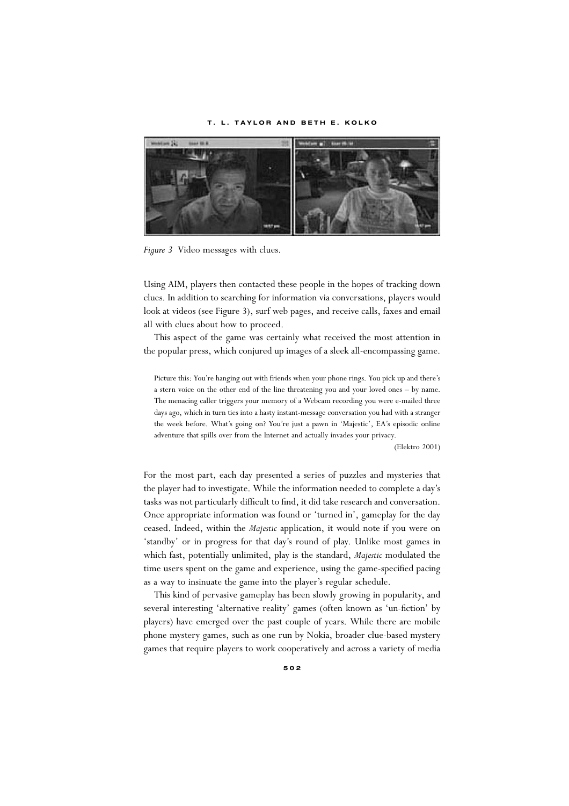

*Figure 3* Video messages with clues.

Using AIM, players then contacted these people in the hopes of tracking down clues. In addition to searching for information via conversations, players would look at videos (see Figure 3), surf web pages, and receive calls, faxes and email all with clues about how to proceed.

This aspect of the game was certainly what received the most attention in the popular press, which conjured up images of a sleek all-encompassing game.

Picture this: You're hanging out with friends when your phone rings. You pick up and there's a stern voice on the other end of the line threatening you and your loved ones – by name. The menacing caller triggers your memory of a Webcam recording you were e-mailed three days ago, which in turn ties into a hasty instant-message conversation you had with a stranger the week before. What's going on? You're just a pawn in 'Majestic', EA's episodic online adventure that spills over from the Internet and actually invades your privacy.

(Elektro 2001)

For the most part, each day presented a series of puzzles and mysteries that the player had to investigate. While the information needed to complete a day's tasks was not particularly difficult to find, it did take research and conversation. Once appropriate information was found or 'turned in', gameplay for the day ceased. Indeed, within the *Majestic* application, it would note if you were on 'standby' or in progress for that day's round of play. Unlike most games in which fast, potentially unlimited, play is the standard, *Majestic* modulated the time users spent on the game and experience, using the game-specified pacing as a way to insinuate the game into the player's regular schedule.

This kind of pervasive gameplay has been slowly growing in popularity, and several interesting 'alternative reality' games (often known as 'un-fiction' by players) have emerged over the past couple of years. While there are mobile phone mystery games, such as one run by Nokia, broader clue-based mystery games that require players to work cooperatively and across a variety of media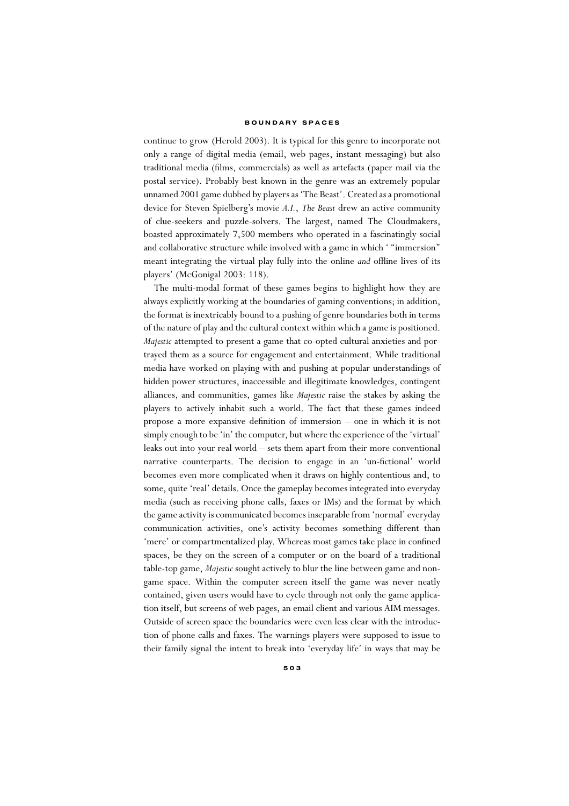continue to grow (Herold 2003). It is typical for this genre to incorporate not only a range of digital media (email, web pages, instant messaging) but also traditional media (films, commercials) as well as artefacts (paper mail via the postal service). Probably best known in the genre was an extremely popular unnamed 2001 game dubbed by players as 'The Beast'. Created as a promotional device for Steven Spielberg's movie *A.I.*, *The Beast* drew an active community of clue-seekers and puzzle-solvers. The largest, named The Cloudmakers, boasted approximately 7,500 members who operated in a fascinatingly social and collaborative structure while involved with a game in which ' ''immersion'' meant integrating the virtual play fully into the online *and* offline lives of its players' (McGonigal 2003: 118).

The multi-modal format of these games begins to highlight how they are always explicitly working at the boundaries of gaming conventions; in addition, the format is inextricably bound to a pushing of genre boundaries both in terms of the nature of play and the cultural context within which a game is positioned. *Majestic* attempted to present a game that co-opted cultural anxieties and portrayed them as a source for engagement and entertainment. While traditional media have worked on playing with and pushing at popular understandings of hidden power structures, inaccessible and illegitimate knowledges, contingent alliances, and communities, games like *Majestic* raise the stakes by asking the players to actively inhabit such a world. The fact that these games indeed propose a more expansive definition of immersion – one in which it is not simply enough to be 'in' the computer, but where the experience of the 'virtual' leaks out into your real world – sets them apart from their more conventional narrative counterparts. The decision to engage in an 'un-fictional' world becomes even more complicated when it draws on highly contentious and, to some, quite 'real' details. Once the gameplay becomes integrated into everyday media (such as receiving phone calls, faxes or IMs) and the format by which the game activity is communicated becomes inseparable from 'normal' everyday communication activities, one's activity becomes something different than 'mere' or compartmentalized play. Whereas most games take place in confined spaces, be they on the screen of a computer or on the board of a traditional table-top game, *Majestic* sought actively to blur the line between game and nongame space. Within the computer screen itself the game was never neatly contained, given users would have to cycle through not only the game application itself, but screens of web pages, an email client and various AIM messages. Outside of screen space the boundaries were even less clear with the introduction of phone calls and faxes. The warnings players were supposed to issue to their family signal the intent to break into 'everyday life' in ways that may be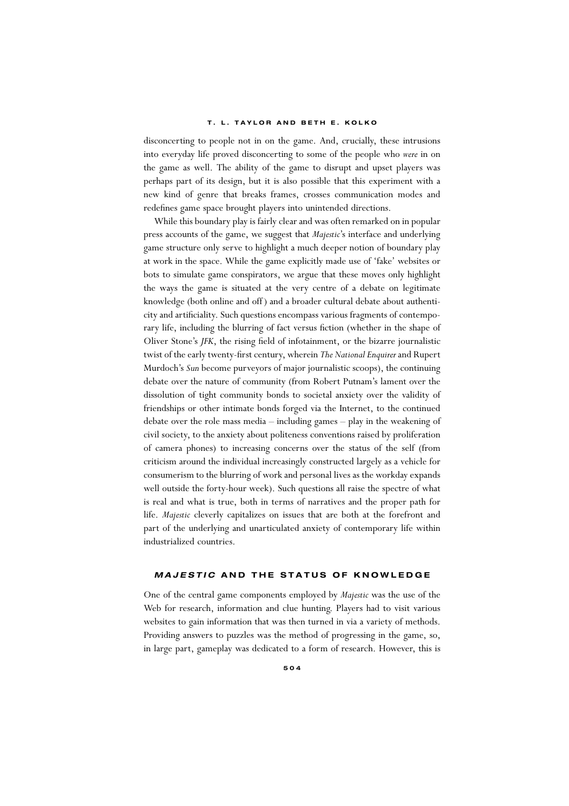disconcerting to people not in on the game. And, crucially, these intrusions into everyday life proved disconcerting to some of the people who *were* in on the game as well. The ability of the game to disrupt and upset players was perhaps part of its design, but it is also possible that this experiment with a new kind of genre that breaks frames, crosses communication modes and redefines game space brought players into unintended directions.

While this boundary play is fairly clear and was often remarked on in popular press accounts of the game, we suggest that *Majestic*'s interface and underlying game structure only serve to highlight a much deeper notion of boundary play at work in the space. While the game explicitly made use of 'fake' websites or bots to simulate game conspirators, we argue that these moves only highlight the ways the game is situated at the very centre of a debate on legitimate knowledge (both online and off ) and a broader cultural debate about authenticity and artificiality. Such questions encompass various fragments of contemporary life, including the blurring of fact versus fiction (whether in the shape of Oliver Stone's *JFK*, the rising field of infotainment, or the bizarre journalistic twist of the early twenty-first century, wherein *The National Enquirer*and Rupert Murdoch's *Sun* become purveyors of major journalistic scoops), the continuing debate over the nature of community (from Robert Putnam's lament over the dissolution of tight community bonds to societal anxiety over the validity of friendships or other intimate bonds forged via the Internet, to the continued debate over the role mass media – including games – play in the weakening of civil society, to the anxiety about politeness conventions raised by proliferation of camera phones) to increasing concerns over the status of the self (from criticism around the individual increasingly constructed largely as a vehicle for consumerism to the blurring of work and personal lives as the workday expands well outside the forty-hour week). Such questions all raise the spectre of what is real and what is true, both in terms of narratives and the proper path for life. *Majestic* cleverly capitalizes on issues that are both at the forefront and part of the underlying and unarticulated anxiety of contemporary life within industrialized countries.

# *MAJESTIC* **AND THE STATUS OF KNOWLEDGE**

One of the central game components employed by *Majestic* was the use of the Web for research, information and clue hunting. Players had to visit various websites to gain information that was then turned in via a variety of methods. Providing answers to puzzles was the method of progressing in the game, so, in large part, gameplay was dedicated to a form of research. However, this is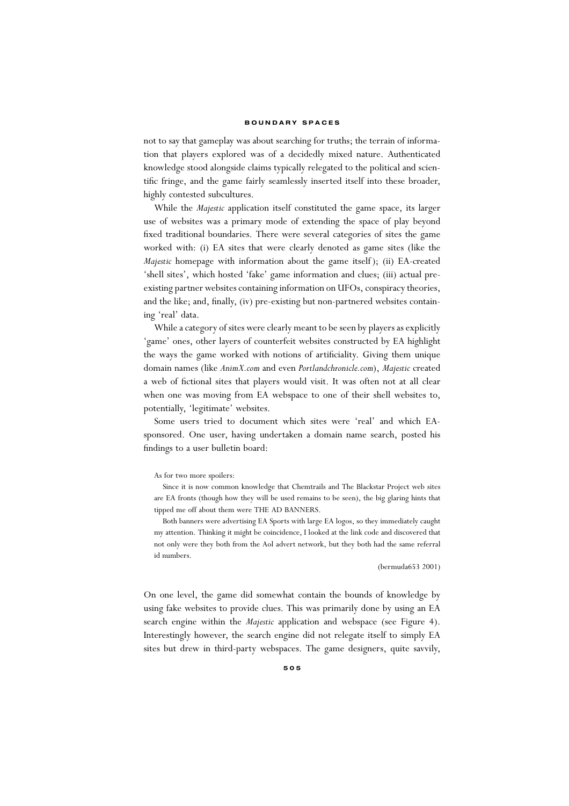not to say that gameplay was about searching for truths; the terrain of information that players explored was of a decidedly mixed nature. Authenticated knowledge stood alongside claims typically relegated to the political and scientific fringe, and the game fairly seamlessly inserted itself into these broader, highly contested subcultures.

While the *Majestic* application itself constituted the game space, its larger use of websites was a primary mode of extending the space of play beyond fixed traditional boundaries. There were several categories of sites the game worked with: (i) EA sites that were clearly denoted as game sites (like the *Majestic* homepage with information about the game itself ); (ii) EA-created 'shell sites', which hosted 'fake' game information and clues; (iii) actual preexisting partner websites containing information on UFOs, conspiracy theories, and the like; and, finally, (iv) pre-existing but non-partnered websites containing 'real' data.

While a category of sites were clearly meant to be seen by players as explicitly 'game' ones, other layers of counterfeit websites constructed by EA highlight the ways the game worked with notions of artificiality. Giving them unique domain names (like *AnimX.com* and even *Portlandchronicle.com*), *Majestic* created a web of fictional sites that players would visit. It was often not at all clear when one was moving from EA webspace to one of their shell websites to, potentially, 'legitimate' websites.

Some users tried to document which sites were 'real' and which EAsponsored. One user, having undertaken a domain name search, posted his findings to a user bulletin board:

#### As for two more spoilers:

Since it is now common knowledge that Chemtrails and The Blackstar Project web sites are EA fronts (though how they will be used remains to be seen), the big glaring hints that tipped me off about them were THE AD BANNERS.

Both banners were advertising EA Sports with large EA logos, so they immediately caught my attention. Thinking it might be coincidence, I looked at the link code and discovered that not only were they both from the Aol advert network, but they both had the same referral id numbers.

(bermuda653 2001)

On one level, the game did somewhat contain the bounds of knowledge by using fake websites to provide clues. This was primarily done by using an EA search engine within the *Majestic* application and webspace (see Figure 4). Interestingly however, the search engine did not relegate itself to simply EA sites but drew in third-party webspaces. The game designers, quite savvily,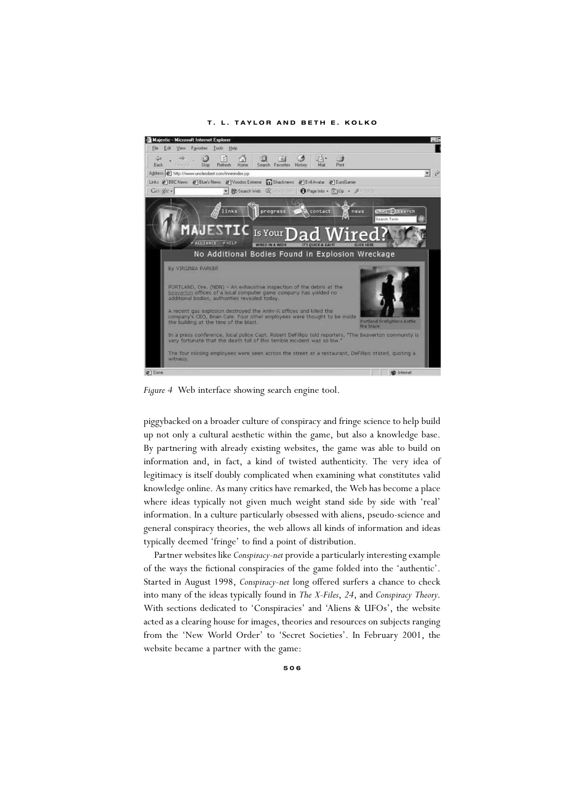

*Figure 4* Web interface showing search engine tool.

piggybacked on a broader culture of conspiracy and fringe science to help build up not only a cultural aesthetic within the game, but also a knowledge base. By partnering with already existing websites, the game was able to build on information and, in fact, a kind of twisted authenticity. The very idea of legitimacy is itself doubly complicated when examining what constitutes valid knowledge online. As many critics have remarked, the Web has become a place where ideas typically not given much weight stand side by side with 'real' information. In a culture particularly obsessed with aliens, pseudo-science and general conspiracy theories, the web allows all kinds of information and ideas typically deemed 'fringe' to find a point of distribution.

Partner websites like *Conspiracy-net* provide a particularly interesting example of the ways the fictional conspiracies of the game folded into the 'authentic'. Started in August 1998, *Conspiracy-net* long offered surfers a chance to check into many of the ideas typically found in *The X-Files*, *24*, and *Conspiracy Theory*. With sections dedicated to 'Conspiracies' and 'Aliens & UFOs', the website acted as a clearing house for images, theories and resources on subjects ranging from the 'New World Order' to 'Secret Societies'. In February 2001, the website became a partner with the game: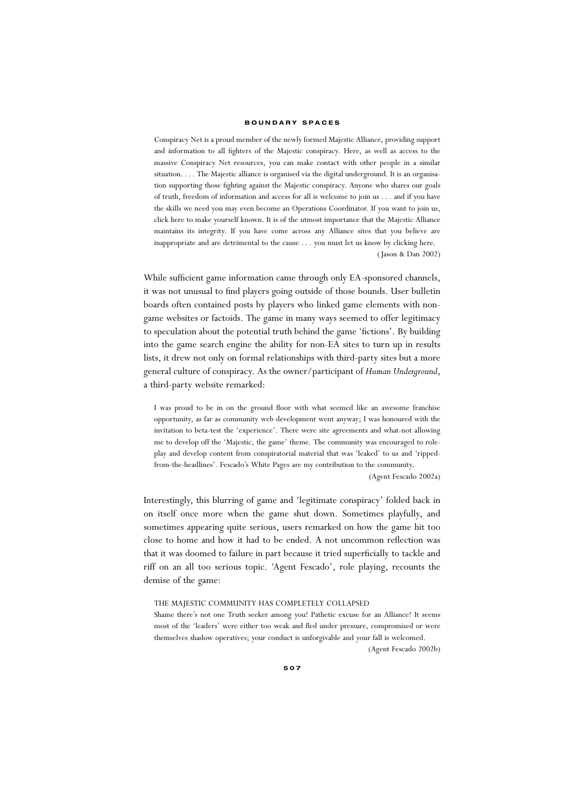Conspiracy Net is a proud member of the newly formed Majestic Alliance, providing support and information to all fighters of the Majestic conspiracy. Here, as well as access to the massive Conspiracy Net resources, you can make contact with other people in a similar situation. . . . The Majestic alliance is organised via the digital underground. It is an organisation supporting those fighting against the Majestic conspiracy. Anyone who shares our goals of truth, freedom of information and access for all is welcome to join us . . . and if you have the skills we need you may even become an Operations Coordinator. If you want to join us, click here to make yourself known. It is of the utmost importance that the Majestic Alliance maintains its integrity. If you have come across any Alliance sites that you believe are inappropriate and are detrimental to the cause . . . you must let us know by clicking here. (Jason & Dan 2002)

While sufficient game information came through only EA-sponsored channels, it was not unusual to find players going outside of those bounds. User bulletin boards often contained posts by players who linked game elements with nongame websites or factoids. The game in many ways seemed to offer legitimacy to speculation about the potential truth behind the game 'fictions'. By building into the game search engine the ability for non-EA sites to turn up in results lists, it drew not only on formal relationships with third-party sites but a more general culture of conspiracy. As the owner/participant of *Human Underground*, a third-party website remarked:

I was proud to be in on the ground floor with what seemed like an awesome franchise opportunity, as far as community web development went anyway; I was honoured with the invitation to beta-test the 'experience'. There were site agreements and what-not allowing me to develop off the 'Majestic, the game' theme. The community was encouraged to roleplay and develop content from conspiratorial material that was 'leaked' to us and 'rippedfrom-the-headlines'. Fescado's White Pages are my contribution to the community.

(Agent Fescado 2002a)

Interestingly, this blurring of game and 'legitimate conspiracy' folded back in on itself once more when the game shut down. Sometimes playfully, and sometimes appearing quite serious, users remarked on how the game hit too close to home and how it had to be ended. A not uncommon reflection was that it was doomed to failure in part because it tried superficially to tackle and riff on an all too serious topic. 'Agent Fescado', role playing, recounts the demise of the game:

THE MAJESTIC COMMUNITY HAS COMPLETELY COLLAPSED

Shame there's not one Truth seeker among you! Pathetic excuse for an Alliance! It seems most of the 'leaders' were either too weak and fled under pressure, compromised or were themselves shadow operatives; your conduct is unforgivable and your fall is welcomed.

(Agent Fescado 2002b)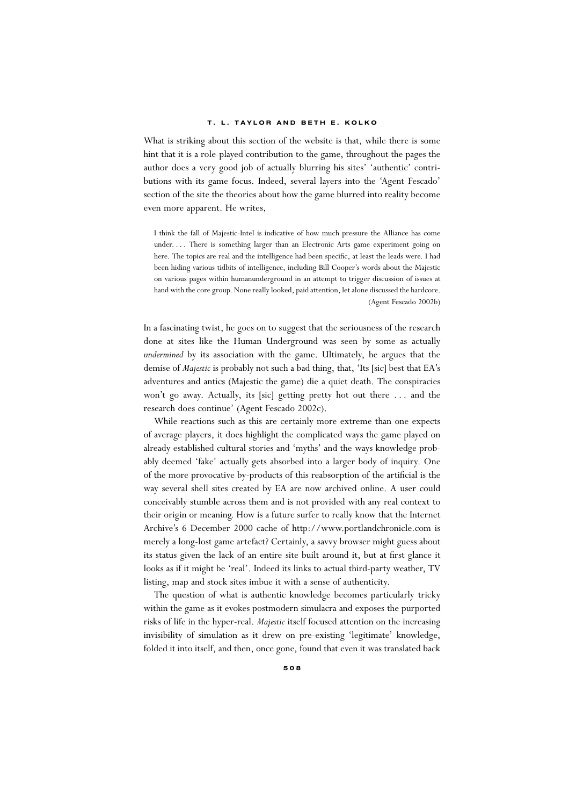What is striking about this section of the website is that, while there is some hint that it is a role-played contribution to the game, throughout the pages the author does a very good job of actually blurring his sites' 'authentic' contributions with its game focus. Indeed, several layers into the 'Agent Fescado' section of the site the theories about how the game blurred into reality become even more apparent. He writes,

I think the fall of Majestic-Intel is indicative of how much pressure the Alliance has come under.... There is something larger than an Electronic Arts game experiment going on here. The topics are real and the intelligence had been specific, at least the leads were. I had been hiding various tidbits of intelligence, including Bill Cooper's words about the Majestic on various pages within humanunderground in an attempt to trigger discussion of issues at hand with the core group. None really looked, paid attention, let alone discussed the hardcore. (Agent Fescado 2002b)

In a fascinating twist, he goes on to suggest that the seriousness of the research done at sites like the Human Underground was seen by some as actually *undermined* by its association with the game. Ultimately, he argues that the demise of *Majestic* is probably not such a bad thing, that, 'Its [sic] best that EA's adventures and antics (Majestic the game) die a quiet death. The conspiracies won't go away. Actually, its [sic] getting pretty hot out there . . . and the research does continue' (Agent Fescado 2002c).

While reactions such as this are certainly more extreme than one expects of average players, it does highlight the complicated ways the game played on already established cultural stories and 'myths' and the ways knowledge probably deemed 'fake' actually gets absorbed into a larger body of inquiry. One of the more provocative by-products of this reabsorption of the artificial is the way several shell sites created by EA are now archived online. A user could conceivably stumble across them and is not provided with any real context to their origin or meaning. How is a future surfer to really know that the Internet Archive's 6 December 2000 cache of http://www.portlandchronicle.com is merely a long-lost game artefact? Certainly, a savvy browser might guess about its status given the lack of an entire site built around it, but at first glance it looks as if it might be 'real'. Indeed its links to actual third-party weather, TV listing, map and stock sites imbue it with a sense of authenticity.

The question of what is authentic knowledge becomes particularly tricky within the game as it evokes postmodern simulacra and exposes the purported risks of life in the hyper-real. *Majestic* itself focused attention on the increasing invisibility of simulation as it drew on pre-existing 'legitimate' knowledge, folded it into itself, and then, once gone, found that even it was translated back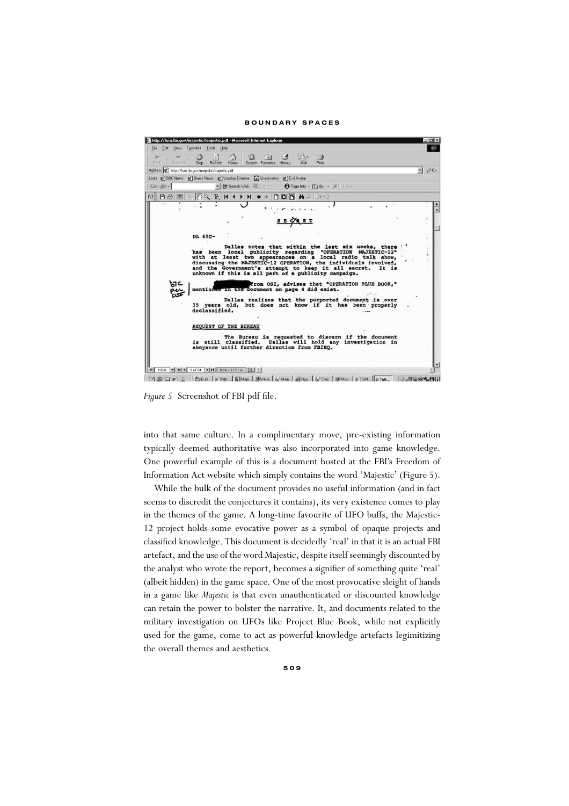

*Figure 5* Screenshot of FBI pdf file.

into that same culture. In a complimentary move, pre-existing information typically deemed authoritative was also incorporated into game knowledge. One powerful example of this is a document hosted at the FBI's Freedom of Information Act website which simply contains the word 'Majestic' (Figure 5).

While the bulk of the document provides no useful information (and in fact seems to discredit the conjectures it contains), its very existence comes to play in the themes of the game. A long-time favourite of UFO buffs, the Majestic-12 project holds some evocative power as a symbol of opaque projects and classified knowledge. This document is decidedly 'real' in that it is an actual FBI artefact, and the use of the word Majestic, despite itself seemingly discounted by the analyst who wrote the report, becomes a signifier of something quite 'real' (albeit hidden) in the game space. One of the most provocative sleight of hands in a game like *Majestic* is that even unauthenticated or discounted knowledge can retain the power to bolster the narrative. It, and documents related to the military investigation on UFOs like Project Blue Book, while not explicitly used for the game, come to act as powerful knowledge artefacts legimitizing the overall themes and aesthetics.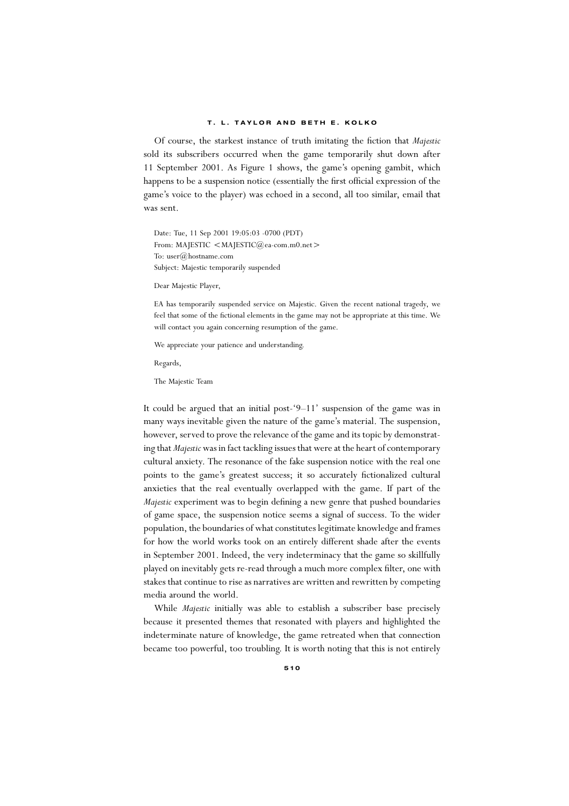Of course, the starkest instance of truth imitating the fiction that *Majestic* sold its subscribers occurred when the game temporarily shut down after 11 September 2001. As Figure 1 shows, the game's opening gambit, which happens to be a suspension notice (essentially the first official expression of the game's voice to the player) was echoed in a second, all too similar, email that was sent.

Date: Tue, 11 Sep 2001 19:05:03 -0700 (PDT) From: MAJESTIC  $\langle M A | ESTIC(\hat{\alpha})e$ a-com.m0.net $\rangle$ To: user@hostname.com Subject: Majestic temporarily suspended

Dear Majestic Player,

EA has temporarily suspended service on Majestic. Given the recent national tragedy, we feel that some of the fictional elements in the game may not be appropriate at this time. We will contact you again concerning resumption of the game.

We appreciate your patience and understanding.

Regards,

The Majestic Team

It could be argued that an initial post-'9–11' suspension of the game was in many ways inevitable given the nature of the game's material. The suspension, however, served to prove the relevance of the game and its topic by demonstrating that *Majestic* was in fact tackling issues that were at the heart of contemporary cultural anxiety. The resonance of the fake suspension notice with the real one points to the game's greatest success; it so accurately fictionalized cultural anxieties that the real eventually overlapped with the game. If part of the *Majestic* experiment was to begin defining a new genre that pushed boundaries of game space, the suspension notice seems a signal of success. To the wider population, the boundaries of what constitutes legitimate knowledge and frames for how the world works took on an entirely different shade after the events in September 2001. Indeed, the very indeterminacy that the game so skillfully played on inevitably gets re-read through a much more complex filter, one with stakes that continue to rise as narratives are written and rewritten by competing media around the world.

While *Majestic* initially was able to establish a subscriber base precisely because it presented themes that resonated with players and highlighted the indeterminate nature of knowledge, the game retreated when that connection became too powerful, too troubling. It is worth noting that this is not entirely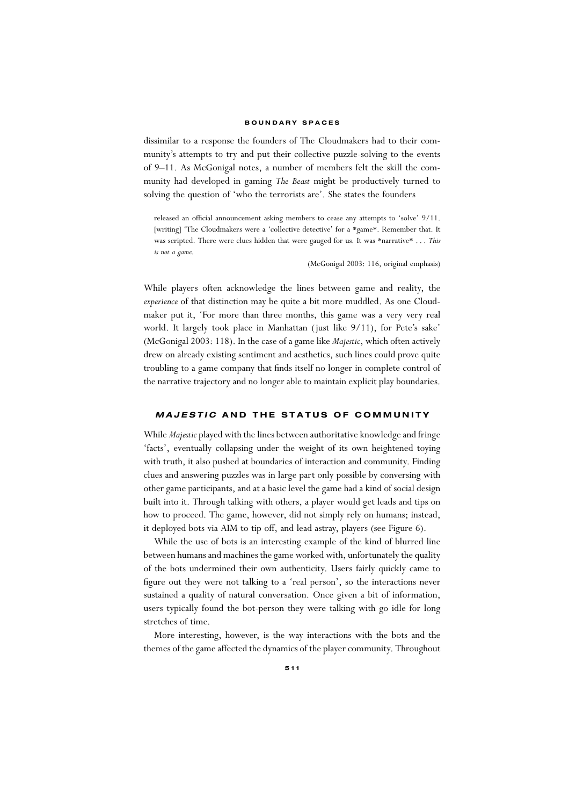dissimilar to a response the founders of The Cloudmakers had to their community's attempts to try and put their collective puzzle-solving to the events of 9–11. As McGonigal notes, a number of members felt the skill the community had developed in gaming *The Beast* might be productively turned to solving the question of 'who the terrorists are'. She states the founders

released an official announcement asking members to cease any attempts to 'solve' 9/11. [writing] 'The Cloudmakers were a 'collective detective' for a \*game\*. Remember that. It was scripted. There were clues hidden that were gauged for us. It was \*narrative\* . . . *This is not a game*.

(McGonigal 2003: 116, original emphasis)

While players often acknowledge the lines between game and reality, the *experience* of that distinction may be quite a bit more muddled. As one Cloudmaker put it, 'For more than three months, this game was a very very real world. It largely took place in Manhattan (just like 9/11), for Pete's sake' (McGonigal 2003: 118). In the case of a game like *Majestic*, which often actively drew on already existing sentiment and aesthetics, such lines could prove quite troubling to a game company that finds itself no longer in complete control of the narrative trajectory and no longer able to maintain explicit play boundaries.

# *MAJESTIC* **AND THE STATUS OF COMMUNITY**

While *Majestic* played with the lines between authoritative knowledge and fringe 'facts', eventually collapsing under the weight of its own heightened toying with truth, it also pushed at boundaries of interaction and community. Finding clues and answering puzzles was in large part only possible by conversing with other game participants, and at a basic level the game had a kind of social design built into it. Through talking with others, a player would get leads and tips on how to proceed. The game, however, did not simply rely on humans; instead, it deployed bots via AIM to tip off, and lead astray, players (see Figure 6).

While the use of bots is an interesting example of the kind of blurred line between humans and machines the game worked with, unfortunately the quality of the bots undermined their own authenticity. Users fairly quickly came to figure out they were not talking to a 'real person', so the interactions never sustained a quality of natural conversation. Once given a bit of information, users typically found the bot-person they were talking with go idle for long stretches of time.

More interesting, however, is the way interactions with the bots and the themes of the game affected the dynamics of the player community. Throughout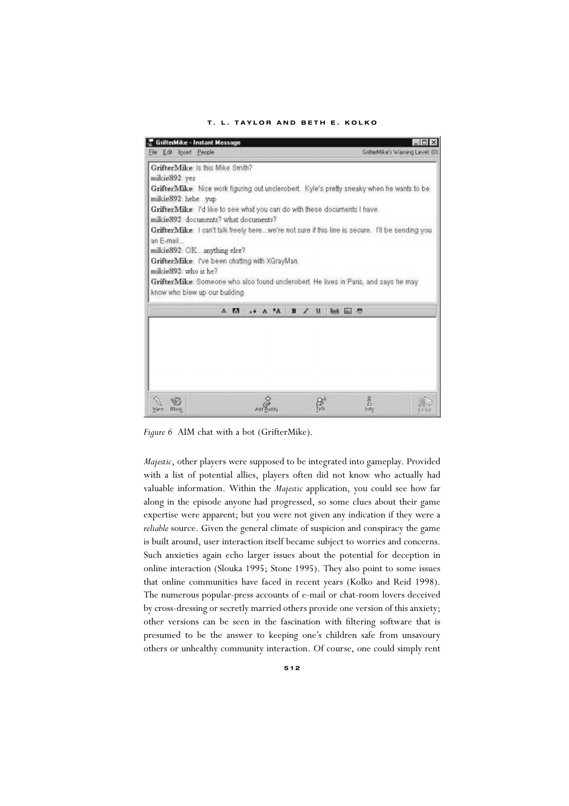| File                                                                                                              | <b>GrifterMike - Instant Message</b> |   |    |      |   |   |          |   |  | 배미서                             |
|-------------------------------------------------------------------------------------------------------------------|--------------------------------------|---|----|------|---|---|----------|---|--|---------------------------------|
|                                                                                                                   | Edit Insert People                   |   |    |      |   |   |          |   |  | Griften fike's Warning Level DX |
| GrifterMike: Is this Mike Smith?                                                                                  |                                      |   |    |      |   |   |          |   |  |                                 |
| mikie892: yes                                                                                                     |                                      |   |    |      |   |   |          |   |  |                                 |
| GrifterMike: Nice work figuring out unclerobert. Kyle's pretty sneaky when he wants to be.<br>mikie892 heheyup    |                                      |   |    |      |   |   |          |   |  |                                 |
| GrifterMike: I'd like to see what you can do with these documents I have.<br>mikie892; documents? what documents? |                                      |   |    |      |   |   |          |   |  |                                 |
| GrifterMike: I can't talk freely here we're not sure if this line is secure. I'll be sending you                  |                                      |   |    |      |   |   |          |   |  |                                 |
| an E-mail<br>mikie892 OK. anything else?                                                                          |                                      |   |    |      |   |   |          |   |  |                                 |
| GrifterMike: I've been chatting with XGrayMan.<br>mikie892 who is he?                                             |                                      |   |    |      |   |   |          |   |  |                                 |
| GrifterMike: Someone who also found unclerobert. He lives in Paris, and says he may                               |                                      |   |    |      |   |   |          |   |  |                                 |
| know who blew up our building.                                                                                    |                                      |   |    |      |   |   |          |   |  |                                 |
|                                                                                                                   | $\mathbf{A}$                         | M | 医单 | A *A | B | л | link [m] |   |  |                                 |
|                                                                                                                   |                                      |   |    |      |   |   |          | L |  |                                 |

*Figure 6* AIM chat with a bot (GrifterMike).

*Majestic*, other players were supposed to be integrated into gameplay. Provided with a list of potential allies, players often did not know who actually had valuable information. Within the *Majestic* application, you could see how far along in the episode anyone had progressed, so some clues about their game expertise were apparent; but you were not given any indication if they were a *reliable* source. Given the general climate of suspicion and conspiracy the game is built around, user interaction itself became subject to worries and concerns. Such anxieties again echo larger issues about the potential for deception in online interaction (Slouka 1995; Stone 1995). They also point to some issues that online communities have faced in recent years (Kolko and Reid 1998). The numerous popular-press accounts of e-mail or chat-room lovers deceived by cross-dressing or secretly married others provide one version of this anxiety; other versions can be seen in the fascination with filtering software that is presumed to be the answer to keeping one's children safe from unsavoury others or unhealthy community interaction. Of course, one could simply rent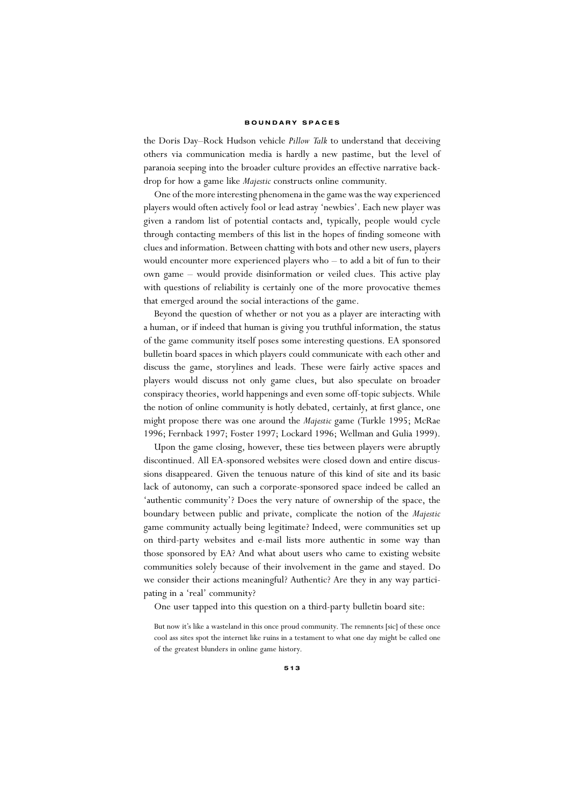the Doris Day–Rock Hudson vehicle *Pillow Talk* to understand that deceiving others via communication media is hardly a new pastime, but the level of paranoia seeping into the broader culture provides an effective narrative backdrop for how a game like *Majestic* constructs online community.

One of the more interesting phenomena in the game was the way experienced players would often actively fool or lead astray 'newbies'. Each new player was given a random list of potential contacts and, typically, people would cycle through contacting members of this list in the hopes of finding someone with clues and information. Between chatting with bots and other new users, players would encounter more experienced players who – to add a bit of fun to their own game – would provide disinformation or veiled clues. This active play with questions of reliability is certainly one of the more provocative themes that emerged around the social interactions of the game.

Beyond the question of whether or not you as a player are interacting with a human, or if indeed that human is giving you truthful information, the status of the game community itself poses some interesting questions. EA sponsored bulletin board spaces in which players could communicate with each other and discuss the game, storylines and leads. These were fairly active spaces and players would discuss not only game clues, but also speculate on broader conspiracy theories, world happenings and even some off-topic subjects. While the notion of online community is hotly debated, certainly, at first glance, one might propose there was one around the *Majestic* game (Turkle 1995; McRae 1996; Fernback 1997; Foster 1997; Lockard 1996; Wellman and Gulia 1999).

Upon the game closing, however, these ties between players were abruptly discontinued. All EA-sponsored websites were closed down and entire discussions disappeared. Given the tenuous nature of this kind of site and its basic lack of autonomy, can such a corporate-sponsored space indeed be called an 'authentic community'? Does the very nature of ownership of the space, the boundary between public and private, complicate the notion of the *Majestic* game community actually being legitimate? Indeed, were communities set up on third-party websites and e-mail lists more authentic in some way than those sponsored by EA? And what about users who came to existing website communities solely because of their involvement in the game and stayed. Do we consider their actions meaningful? Authentic? Are they in any way participating in a 'real' community?

One user tapped into this question on a third-party bulletin board site:

But now it's like a wasteland in this once proud community. The remnents [sic] of these once cool ass sites spot the internet like ruins in a testament to what one day might be called one of the greatest blunders in online game history.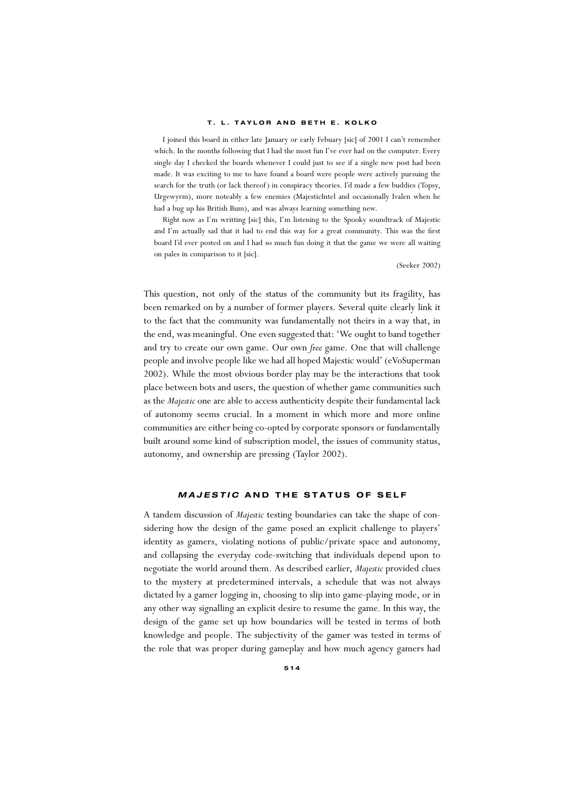I joined this board in either late January or early Febuary [sic] of 2001 I can't remember which. In the months following that I had the most fun I've ever had on the computer. Every single day I checked the boards whenever I could just to see if a single new post had been made. It was exciting to me to have found a board were people were actively pursuing the search for the truth (or lack thereof ) in conspiracy theories. I'd made a few buddies (Topsy, Urgewyrm), more noteably a few enemies (MajesticIntel and occasionally Ivalen when he had a bug up his British Bum), and was always learning something new.

Right now as I'm writting [sic] this, I'm listening to the Spooky soundtrack of Majestic and I'm actually sad that it had to end this way for a great community. This was the first board I'd ever posted on and I had so much fun doing it that the game we were all waiting on pales in comparison to it [sic].

(Seeker 2002)

This question, not only of the status of the community but its fragility, has been remarked on by a number of former players. Several quite clearly link it to the fact that the community was fundamentally not theirs in a way that, in the end, was meaningful. One even suggested that: 'We ought to band together and try to create our own game. Our own *free* game. One that will challenge people and involve people like we had all hoped Majestic would' (eVoSuperman 2002). While the most obvious border play may be the interactions that took place between bots and users, the question of whether game communities such as the *Majestic* one are able to access authenticity despite their fundamental lack of autonomy seems crucial. In a moment in which more and more online communities are either being co-opted by corporate sponsors or fundamentally built around some kind of subscription model, the issues of community status, autonomy, and ownership are pressing (Taylor 2002).

### *MAJESTIC* **AND THE STATUS OF SELF**

A tandem discussion of *Majestic* testing boundaries can take the shape of considering how the design of the game posed an explicit challenge to players' identity as gamers, violating notions of public/private space and autonomy, and collapsing the everyday code-switching that individuals depend upon to negotiate the world around them. As described earlier, *Majestic* provided clues to the mystery at predetermined intervals, a schedule that was not always dictated by a gamer logging in, choosing to slip into game-playing mode, or in any other way signalling an explicit desire to resume the game. In this way, the design of the game set up how boundaries will be tested in terms of both knowledge and people. The subjectivity of the gamer was tested in terms of the role that was proper during gameplay and how much agency gamers had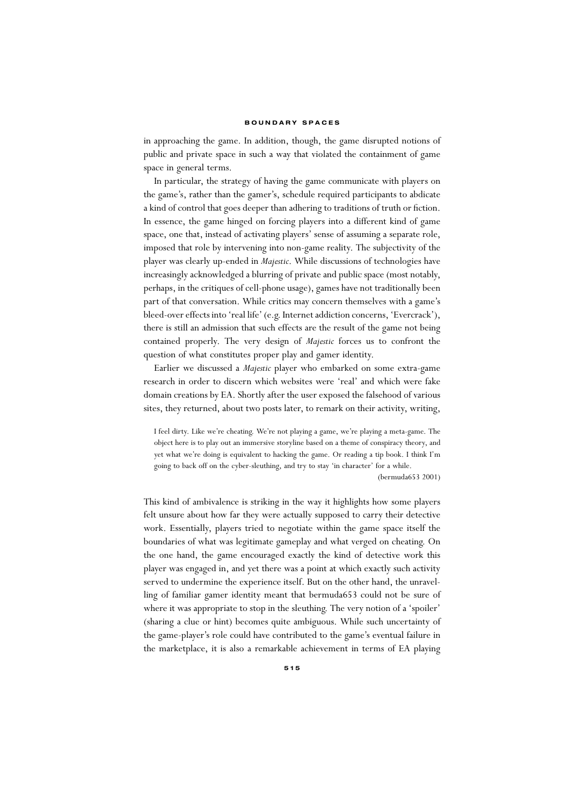in approaching the game. In addition, though, the game disrupted notions of public and private space in such a way that violated the containment of game space in general terms.

In particular, the strategy of having the game communicate with players on the game's, rather than the gamer's, schedule required participants to abdicate a kind of control that goes deeper than adhering to traditions of truth or fiction. In essence, the game hinged on forcing players into a different kind of game space, one that, instead of activating players' sense of assuming a separate role, imposed that role by intervening into non-game reality. The subjectivity of the player was clearly up-ended in *Majestic*. While discussions of technologies have increasingly acknowledged a blurring of private and public space (most notably, perhaps, in the critiques of cell-phone usage), games have not traditionally been part of that conversation. While critics may concern themselves with a game's bleed-over effects into 'real life' (e.g. Internet addiction concerns, 'Evercrack'), there is still an admission that such effects are the result of the game not being contained properly. The very design of *Majestic* forces us to confront the question of what constitutes proper play and gamer identity.

Earlier we discussed a *Majestic* player who embarked on some extra-game research in order to discern which websites were 'real' and which were fake domain creations by EA. Shortly after the user exposed the falsehood of various sites, they returned, about two posts later, to remark on their activity, writing,

(bermuda653 2001)

This kind of ambivalence is striking in the way it highlights how some players felt unsure about how far they were actually supposed to carry their detective work. Essentially, players tried to negotiate within the game space itself the boundaries of what was legitimate gameplay and what verged on cheating. On the one hand, the game encouraged exactly the kind of detective work this player was engaged in, and yet there was a point at which exactly such activity served to undermine the experience itself. But on the other hand, the unravelling of familiar gamer identity meant that bermuda653 could not be sure of where it was appropriate to stop in the sleuthing. The very notion of a 'spoiler' (sharing a clue or hint) becomes quite ambiguous. While such uncertainty of the game-player's role could have contributed to the game's eventual failure in the marketplace, it is also a remarkable achievement in terms of EA playing

I feel dirty. Like we're cheating. We're not playing a game, we're playing a meta-game. The object here is to play out an immersive storyline based on a theme of conspiracy theory, and yet what we're doing is equivalent to hacking the game. Or reading a tip book. I think I'm going to back off on the cyber-sleuthing, and try to stay 'in character' for a while.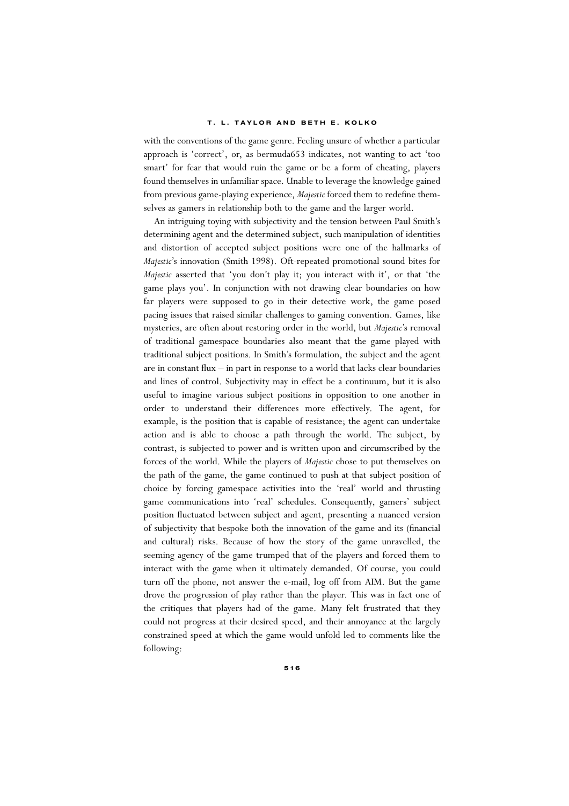with the conventions of the game genre. Feeling unsure of whether a particular approach is 'correct', or, as bermuda653 indicates, not wanting to act 'too smart' for fear that would ruin the game or be a form of cheating, players found themselves in unfamiliar space. Unable to leverage the knowledge gained from previous game-playing experience, *Majestic* forced them to redefine themselves as gamers in relationship both to the game and the larger world.

An intriguing toying with subjectivity and the tension between Paul Smith's determining agent and the determined subject, such manipulation of identities and distortion of accepted subject positions were one of the hallmarks of *Majestic*'s innovation (Smith 1998). Oft-repeated promotional sound bites for *Majestic* asserted that 'you don't play it; you interact with it', or that 'the game plays you'. In conjunction with not drawing clear boundaries on how far players were supposed to go in their detective work, the game posed pacing issues that raised similar challenges to gaming convention. Games, like mysteries, are often about restoring order in the world, but *Majestic*'s removal of traditional gamespace boundaries also meant that the game played with traditional subject positions. In Smith's formulation, the subject and the agent are in constant flux – in part in response to a world that lacks clear boundaries and lines of control. Subjectivity may in effect be a continuum, but it is also useful to imagine various subject positions in opposition to one another in order to understand their differences more effectively. The agent, for example, is the position that is capable of resistance; the agent can undertake action and is able to choose a path through the world. The subject, by contrast, is subjected to power and is written upon and circumscribed by the forces of the world. While the players of *Majestic* chose to put themselves on the path of the game, the game continued to push at that subject position of choice by forcing gamespace activities into the 'real' world and thrusting game communications into 'real' schedules. Consequently, gamers' subject position fluctuated between subject and agent, presenting a nuanced version of subjectivity that bespoke both the innovation of the game and its (financial and cultural) risks. Because of how the story of the game unravelled, the seeming agency of the game trumped that of the players and forced them to interact with the game when it ultimately demanded. Of course, you could turn off the phone, not answer the e-mail, log off from AIM. But the game drove the progression of play rather than the player. This was in fact one of the critiques that players had of the game. Many felt frustrated that they could not progress at their desired speed, and their annoyance at the largely constrained speed at which the game would unfold led to comments like the following: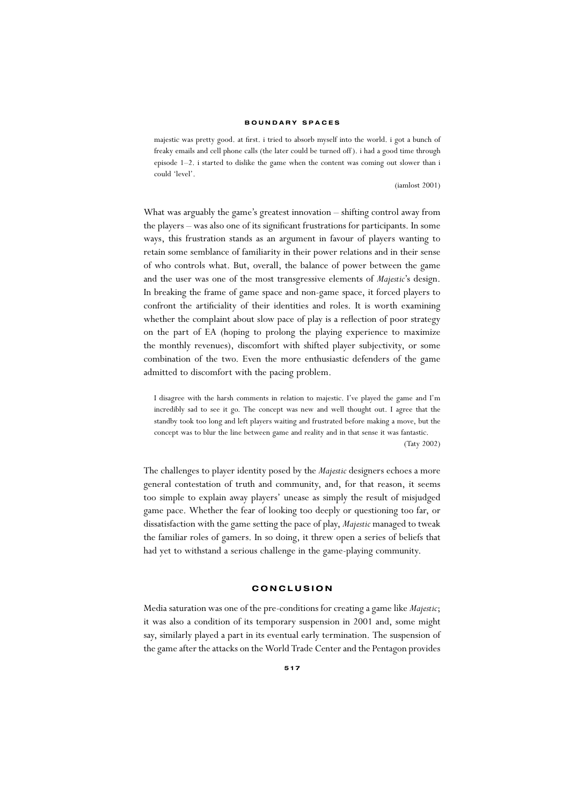majestic was pretty good. at first. i tried to absorb myself into the world. i got a bunch of freaky emails and cell phone calls (the later could be turned off ). i had a good time through episode 1–2. i started to dislike the game when the content was coming out slower than i could 'level'.

(iamlost 2001)

What was arguably the game's greatest innovation – shifting control away from the players – was also one of its significant frustrations for participants. In some ways, this frustration stands as an argument in favour of players wanting to retain some semblance of familiarity in their power relations and in their sense of who controls what. But, overall, the balance of power between the game and the user was one of the most transgressive elements of *Majestic*'s design. In breaking the frame of game space and non-game space, it forced players to confront the artificiality of their identities and roles. It is worth examining whether the complaint about slow pace of play is a reflection of poor strategy on the part of EA (hoping to prolong the playing experience to maximize the monthly revenues), discomfort with shifted player subjectivity, or some combination of the two. Even the more enthusiastic defenders of the game admitted to discomfort with the pacing problem.

I disagree with the harsh comments in relation to majestic. I've played the game and I'm incredibly sad to see it go. The concept was new and well thought out. I agree that the standby took too long and left players waiting and frustrated before making a move, but the concept was to blur the line between game and reality and in that sense it was fantastic. (Taty 2002)

The challenges to player identity posed by the *Majestic* designers echoes a more general contestation of truth and community, and, for that reason, it seems too simple to explain away players' unease as simply the result of misjudged game pace. Whether the fear of looking too deeply or questioning too far, or dissatisfaction with the game setting the pace of play, *Majestic* managed to tweak the familiar roles of gamers. In so doing, it threw open a series of beliefs that had yet to withstand a serious challenge in the game-playing community.

# **CONCLUSION**

Media saturation was one of the pre-conditions for creating a game like *Majestic*; it was also a condition of its temporary suspension in 2001 and, some might say, similarly played a part in its eventual early termination. The suspension of the game after the attacks on the World Trade Center and the Pentagon provides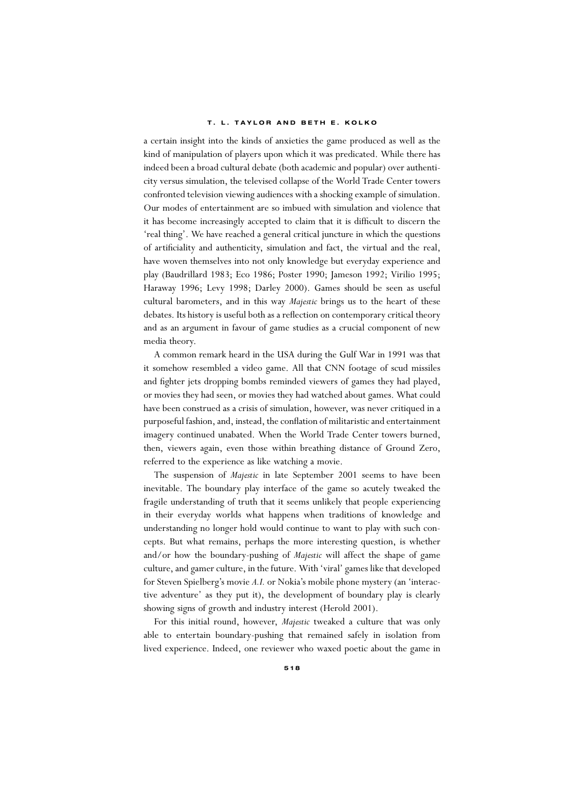a certain insight into the kinds of anxieties the game produced as well as the kind of manipulation of players upon which it was predicated. While there has indeed been a broad cultural debate (both academic and popular) over authenticity versus simulation, the televised collapse of the World Trade Center towers confronted television viewing audiences with a shocking example of simulation. Our modes of entertainment are so imbued with simulation and violence that it has become increasingly accepted to claim that it is difficult to discern the 'real thing'. We have reached a general critical juncture in which the questions of artificiality and authenticity, simulation and fact, the virtual and the real, have woven themselves into not only knowledge but everyday experience and play (Baudrillard 1983; Eco 1986; Poster 1990; Jameson 1992; Virilio 1995; Haraway 1996; Levy 1998; Darley 2000). Games should be seen as useful cultural barometers, and in this way *Majestic* brings us to the heart of these debates. Its history is useful both as a reflection on contemporary critical theory and as an argument in favour of game studies as a crucial component of new media theory.

A common remark heard in the USA during the Gulf War in 1991 was that it somehow resembled a video game. All that CNN footage of scud missiles and fighter jets dropping bombs reminded viewers of games they had played, or movies they had seen, or movies they had watched about games. What could have been construed as a crisis of simulation, however, was never critiqued in a purposeful fashion, and, instead, the conflation of militaristic and entertainment imagery continued unabated. When the World Trade Center towers burned, then, viewers again, even those within breathing distance of Ground Zero, referred to the experience as like watching a movie.

The suspension of *Majestic* in late September 2001 seems to have been inevitable. The boundary play interface of the game so acutely tweaked the fragile understanding of truth that it seems unlikely that people experiencing in their everyday worlds what happens when traditions of knowledge and understanding no longer hold would continue to want to play with such concepts. But what remains, perhaps the more interesting question, is whether and/or how the boundary-pushing of *Majestic* will affect the shape of game culture, and gamer culture, in the future. With 'viral' games like that developed for Steven Spielberg's movie *A.I.* or Nokia's mobile phone mystery (an 'interactive adventure' as they put it), the development of boundary play is clearly showing signs of growth and industry interest (Herold 2001).

For this initial round, however, *Majestic* tweaked a culture that was only able to entertain boundary-pushing that remained safely in isolation from lived experience. Indeed, one reviewer who waxed poetic about the game in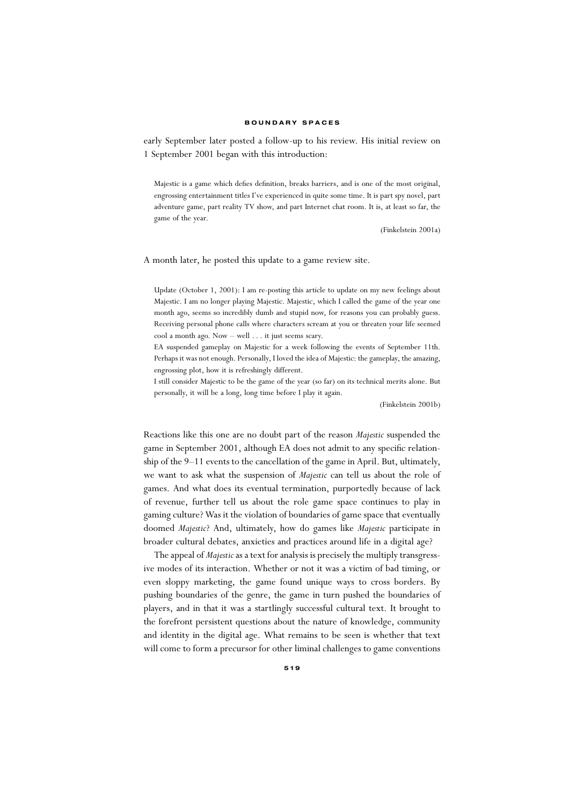early September later posted a follow-up to his review. His initial review on 1 September 2001 began with this introduction:

Majestic is a game which defies definition, breaks barriers, and is one of the most original, engrossing entertainment titles I've experienced in quite some time. It is part spy novel, part adventure game, part reality TV show, and part Internet chat room. It is, at least so far, the game of the year.

(Finkelstein 2001a)

A month later, he posted this update to a game review site.

Update (October 1, 2001): I am re-posting this article to update on my new feelings about Majestic. I am no longer playing Majestic. Majestic, which I called the game of the year one month ago, seems so incredibly dumb and stupid now, for reasons you can probably guess. Receiving personal phone calls where characters scream at you or threaten your life seemed cool a month ago. Now – well . . . it just seems scary.

EA suspended gameplay on Majestic for a week following the events of September 11th. Perhaps it was not enough. Personally, I loved the idea of Majestic: the gameplay, the amazing, engrossing plot, how it is refreshingly different.

I still consider Majestic to be the game of the year (so far) on its technical merits alone. But personally, it will be a long, long time before I play it again.

(Finkelstein 2001b)

Reactions like this one are no doubt part of the reason *Majestic* suspended the game in September 2001, although EA does not admit to any specific relationship of the 9–11 events to the cancellation of the game in April. But, ultimately, we want to ask what the suspension of *Majestic* can tell us about the role of games. And what does its eventual termination, purportedly because of lack of revenue, further tell us about the role game space continues to play in gaming culture? Was it the violation of boundaries of game space that eventually doomed *Majestic*? And, ultimately, how do games like *Majestic* participate in broader cultural debates, anxieties and practices around life in a digital age?

The appeal of *Majestic*as a text for analysis is precisely the multiply transgressive modes of its interaction. Whether or not it was a victim of bad timing, or even sloppy marketing, the game found unique ways to cross borders. By pushing boundaries of the genre, the game in turn pushed the boundaries of players, and in that it was a startlingly successful cultural text. It brought to the forefront persistent questions about the nature of knowledge, community and identity in the digital age. What remains to be seen is whether that text will come to form a precursor for other liminal challenges to game conventions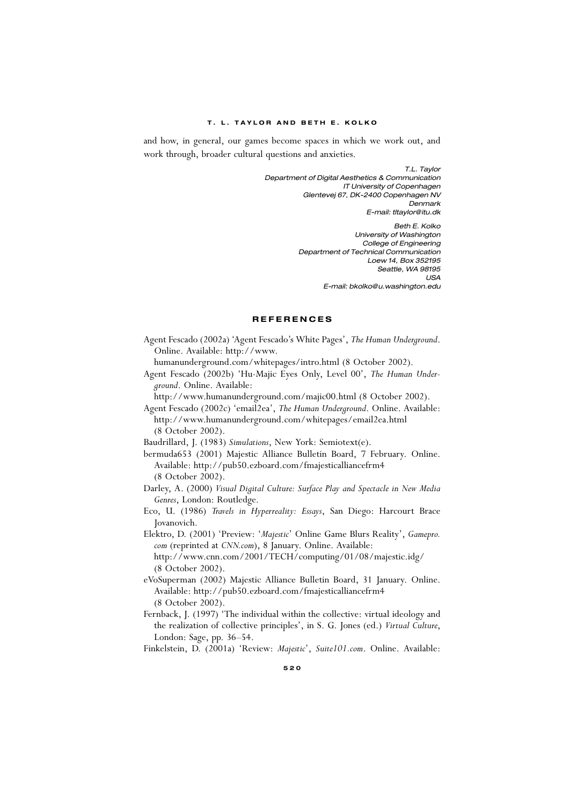and how, in general, our games become spaces in which we work out, and work through, broader cultural questions and anxieties.

> *T.L. Taylor Department of Digital Aesthetics & Communication IT University of Copenhagen Glentevej 67, DK-2400 Copenhagen NV Denmark E-mail: tltaylor@itu.dk Beth E. Kolko*

*University of Washington College of Engineering Department of Technical Communication Loew 14, Box 352195 Seattle, WA 98195 USA E-mail: bkolko@u.washington.edu*

# **REFERENCES**

Agent Fescado (2002a) 'Agent Fescado's White Pages', *The Human Underground*. Online. Available: http://www.

humanunderground.com/whitepages/intro.html (8 October 2002).

Agent Fescado (2002b) 'Hu-Majic Eyes Only, Level 00', *The Human Underground*. Online. Available:

http://www.humanunderground.com/majic00.html (8 October 2002).

- Agent Fescado (2002c) 'email2ea', *The Human Underground*. Online. Available: http://www.humanunderground.com/whitepages/email2ea.html (8 October 2002).
- Baudrillard, J. (1983) *Simulations*, New York: Semiotext(e).
- bermuda653 (2001) Majestic Alliance Bulletin Board, 7 February. Online. Available: http://pub50.ezboard.com/fmajesticalliancefrm4 (8 October 2002).
- Darley, A. (2000) *Visual Digital Culture: Surface Play and Spectacle in New Media Genres*, London: Routledge.
- Eco, U. (1986) *Travels in Hyperreality: Essays*, San Diego: Harcourt Brace Jovanovich.
- Elektro, D. (2001) 'Preview: '*Majestic*' Online Game Blurs Reality', *Gamepro. com* (reprinted at *CNN.com*), 8 January. Online. Available: http://www.cnn.com/2001/TECH/computing/01/08/majestic.idg/ (8 October 2002).
- eVoSuperman (2002) Majestic Alliance Bulletin Board, 31 January. Online. Available: http://pub50.ezboard.com/fmajesticalliancefrm4 (8 October 2002).
- Fernback, J. (1997) 'The individual within the collective: virtual ideology and the realization of collective principles', in S. G. Jones (ed.) *Virtual Culture*, London: Sage, pp. 36–54.

Finkelstein, D. (2001a) 'Review: *Majestic*', *Suite101.com*. Online. Available: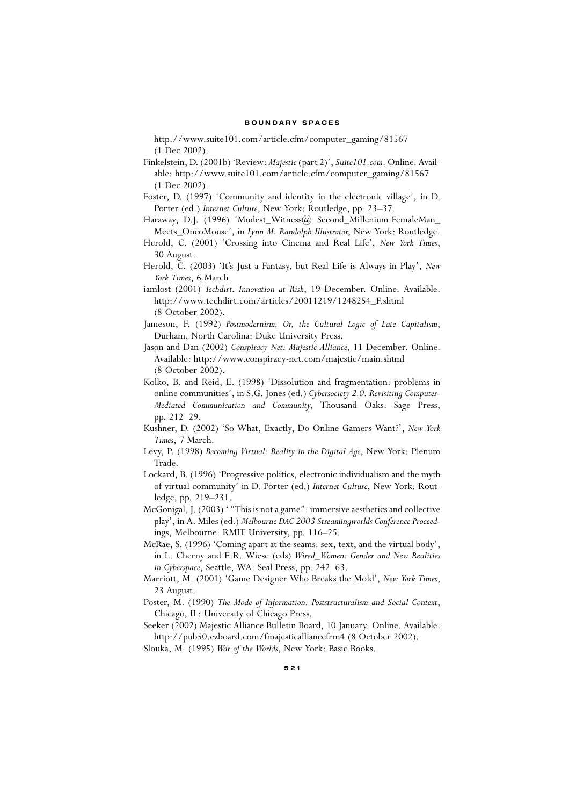http://www.suite101.com/article.cfm/computer\_gaming/81567 (1 Dec 2002).

- Finkelstein, D. (2001b) 'Review: *Majestic* (part 2)', *Suite101.com*. Online. Available: http://www.suite101.com/article.cfm/computer\_gaming/81567 (1 Dec 2002).
- Foster, D. (1997) 'Community and identity in the electronic village', in D. Porter (ed.) *Internet Culture*, New York: Routledge, pp. 23–37.
- Haraway, D.J. (1996) 'Modest\_Witness@ Second\_Millenium.FemaleMan\_ Meets\_OncoMouse', in *Lynn M. Randolph Illustrator*, New York: Routledge.
- Herold, C. (2001) 'Crossing into Cinema and Real Life', *New York Times*, 30 August.
- Herold, C. (2003) 'It's Just a Fantasy, but Real Life is Always in Play', *New York Times*, 6 March.
- iamlost (2001) *Techdirt: Innovation at Risk*, 19 December. Online. Available: http://www.techdirt.com/articles/20011219/1248254\_F.shtml (8 October 2002).
- Jameson, F. (1992) *Postmodernism, Or, the Cultural Logic of Late Capitalism*, Durham, North Carolina: Duke University Press.
- Jason and Dan (2002) *Conspiracy Net: Majestic Alliance*, 11 December. Online. Available: http://www.conspiracy-net.com/majestic/main.shtml (8 October 2002).
- Kolko, B. and Reid, E. (1998) 'Dissolution and fragmentation: problems in online communities', in S.G. Jones (ed.) *Cybersociety 2.0: Revisiting Computer-Mediated Communication and Community*, Thousand Oaks: Sage Press, pp. 212–29.
- Kushner, D. (2002) 'So What, Exactly, Do Online Gamers Want?', *New York Times*, 7 March.
- Levy, P. (1998) *Becoming Virtual: Reality in the Digital Age*, New York: Plenum Trade.
- Lockard, B. (1996) 'Progressive politics, electronic individualism and the myth of virtual community' in D. Porter (ed.) *Internet Culture*, New York: Routledge, pp. 219–231.
- McGonigal, J. (2003) ' ''This is not a game'': immersive aesthetics and collective play', in A. Miles (ed.) *Melbourne DAC 2003 Streamingworlds Conference Proceed*ings, Melbourne: RMIT University, pp. 116–25.
- McRae, S. (1996) 'Coming apart at the seams: sex, text, and the virtual body', in L. Cherny and E.R. Wiese (eds) *Wired*\_*Women: Gender and New Realities in Cyberspace*, Seattle, WA: Seal Press, pp. 242–63.
- Marriott, M. (2001) 'Game Designer Who Breaks the Mold', *New York Times*, 23 August.
- Poster, M. (1990) *The Mode of Information: Poststructuralism and Social Context*, Chicago, IL: University of Chicago Press.
- Seeker (2002) Majestic Alliance Bulletin Board, 10 January. Online. Available: http://pub50.ezboard.com/fmajesticalliancefrm4 (8 October 2002).

Slouka, M. (1995) *War of the Worlds*, New York: Basic Books.